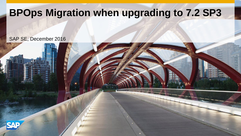# **BPOps Migration when upgrading to 7.2 SP3**

#### SAP SE, December 2016

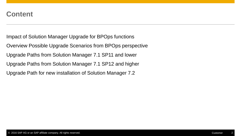### **Content**

Impact of Solution Manager Upgrade for BPOps functions

Overview Possible Upgrade Scenarios from BPOps perspective

Upgrade Paths from Solution Manager 7.1 SP11 and lower

Upgrade Paths from Solution Manager 7.1 SP12 and higher

Upgrade Path for new installation of Solution Manager 7.2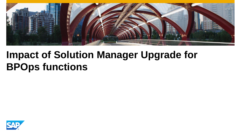

# **Impact of Solution Manager Upgrade for BPOps functions**

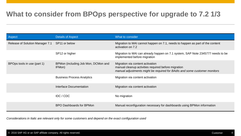## **What to consider from BPOps perspective for upgrade to 7.2 1/3**

| Aspect                          | <b>Details of Aspect</b>                      | What to consider                                                                                                                                                     |
|---------------------------------|-----------------------------------------------|----------------------------------------------------------------------------------------------------------------------------------------------------------------------|
| Release of Solution Manager 7.1 | SP <sub>11</sub> or below                     | Migration to MAI cannot happen on 7.1, needs to happen as part of the content<br>activation on 7.2                                                                   |
|                                 | SP12 or higher                                | Migration to MAI can already happen on 7.1 system, SAP Note 2345777 needs to be<br>implemented before migration                                                      |
| BPOps tools in use (part 1)     | BPMon (including Job Mon, DCMon and<br>IFMon) | Migration via content activation<br>manual cleanup activities required before migration<br>manual adjustments might be required for BAdIs and some customer monitors |
|                                 | <b>Business Process Analytics</b>             | Migration via content activation                                                                                                                                     |
|                                 | Interface Documentation                       | Migration via content activation                                                                                                                                     |
|                                 | IDC / CDC                                     | No migration                                                                                                                                                         |
|                                 | <b>BPO Dashboards for BPMon</b>               | Manual reconfiguration necessary for dashboards using BPMon information                                                                                              |

*Considerations in Italic are relevant only for some customers and depend on the exact configuration used*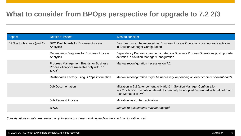## **What to consider from BPOps perspective for upgrade to 7.2 2/3**

| Aspect                      | <b>Details of Aspect</b>                                                                                    | What to consider                                                                                                                                                                              |
|-----------------------------|-------------------------------------------------------------------------------------------------------------|-----------------------------------------------------------------------------------------------------------------------------------------------------------------------------------------------|
| BPOps tools in use (part 2) | <b>BPO Dashboards for Business Process</b><br>Analytics                                                     | Dashboards can be migrated via Business Process Operations post upgrade activities<br>in Solution Manager Configuration                                                                       |
|                             | Dependency Diagrams for Business Process<br>Analytics                                                       | Dependency Diagrams can be migrated via Business Process Operations post upgrade<br>activities in Solution Manager Configuration                                                              |
|                             | Progress Management Boards for Business<br>Process Analytics (available only with 7.1<br>SP <sub>15</sub> ) | Manual reconfiguration necessary on 7.2                                                                                                                                                       |
|                             | Dashboards Factory using BPOps information                                                                  | Manual reconfiguration might be necessary, depending on exact content of dashboards                                                                                                           |
|                             | <b>Job Documentation</b>                                                                                    | Migration in 7.2 (after content activation) in Solution Manager Configuration<br>In 7.2 Job Documentation related UIs can only be adopted / extended with help of Floor<br>Plan Manager (FPM) |
|                             | <b>Job Request Process</b>                                                                                  | Migration via content activation                                                                                                                                                              |
|                             | <b>BPCC</b>                                                                                                 | Manual re-adjustments may be required                                                                                                                                                         |

*Considerations in Italic are relevant only for some customers and depend on the exact configuration used*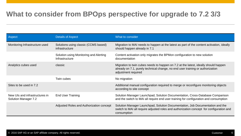## **What to consider from BPOps perspective for upgrade to 7.2 3/3**

| Aspect                                                        | <b>Details of Aspect</b>                                 | What to consider                                                                                                                                                                             |
|---------------------------------------------------------------|----------------------------------------------------------|----------------------------------------------------------------------------------------------------------------------------------------------------------------------------------------------|
| Monitoring Infrastructure used                                | Solutions using classic (CCMS based)<br>infrastructure   | Migration to MAI needs to happen at the latest as part of the content activation, ideally<br>should happen already in 7.1                                                                    |
|                                                               | Solution using Monitoring and Alerting<br>Infrastructure | Content activation only migrates the BPMon configuration to new solution<br>documentation                                                                                                    |
| Analytics cubes used                                          | classic                                                  | Migration to twin cubes needs to happen on 7.2 at the latest, ideally should happen<br>already on 7.1, purely technical change, no end user training or authorization<br>adjustment required |
|                                                               | Twin cubes                                               | No migration                                                                                                                                                                                 |
| Sites to be used in 7.2                                       |                                                          | Additional manual configuration required to merge or reconfigure monitoring objects<br>according to site concept                                                                             |
| New UIs and infrastructures in<br><b>Solution Manager 7.2</b> | <b>End User Training</b>                                 | Solution Manager Launchpad, Solution Documentation, Cross-Database Comparison<br>and the switch to MAI all require end user training for configuration and consumption                       |
|                                                               | Adjusted Roles and Authorization concept                 | Solution Manager Launchpad, Solution Documentation, Job Documentation and the<br>switch to MAI all require adjusted roles and authorization concept for configuration and<br>consumption     |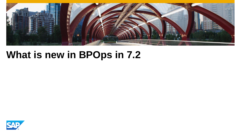

# **What is new in BPOps in 7.2**

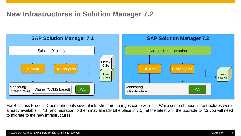## **New Infrastructures in Solution Manager 7.2**



For Business Process Operations tools several infrastructure changes come with 7.2. While some of these infrastructures were already available in 7.1 (and migration to them may already take place in 7.1), at the latest with the upgrade to 7.2 you will need to migrate to the new infrastructures.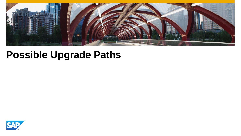

# **Possible Upgrade Paths**

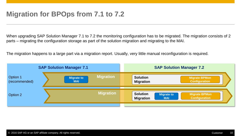## **Migration for BPOps from 7.1 to 7.2**

When upgrading SAP Solution Manager 7.1 to 7.2 the monitoring configuration has to be migrated. The migration consists of 2 parts – migrating the configuration storage as part of the solution migration and migrating to the MAI.

The migration happens to a large part via a migration report. Usually, very little manual reconfiguration is required.

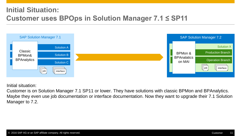# **Initial Situation: Customer uses BPOps in Solution Manager 7.1 ≤ SP11**



Initial situation:

Customer is on Solution Manager 7.1 SP11 or lower. They have solutions with classic BPMon and BPAnalytics. Maybe they even use job documentation or interface documentation. Now they want to upgrade their 7.1 Solution Manager to 7.2.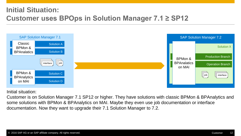# **Initial Situation: Customer uses BPOps in Solution Manager 7.1 ≥ SP12**



Initial situation:

Customer is on Solution Manager 7.1 SP12 or higher. They have solutions with classic BPMon & BPAnalytics and some solutions with BPMon & BPAnalytics on MAI. Maybe they even use job documentation or interface documentation. Now they want to upgrade their 7.1 Solution Manager to 7.2.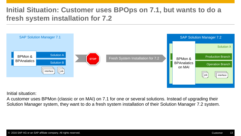# **Initial Situation: Customer uses BPOps on 7.1, but wants to do a fresh system installation for 7.2**



Initial situation:

A customer uses BPMon (classic or on MAI) on 7.1 for one or several solutions. Instead of upgrading their Solution Manager system, they want to do a fresh system installation of their Solution Manager 7.2 system.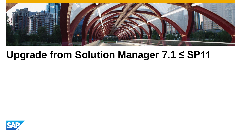

# **Upgrade from Solution Manager 7.1 ≤ SP11**

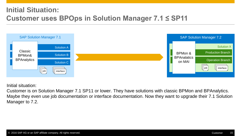# **Initial Situation: Customer uses BPOps in Solution Manager 7.1 ≤ SP11**



Initial situation:

Customer is on Solution Manager 7.1 SP11 or lower. They have solutions with classic BPMon and BPAnalytics. Maybe they even use job documentation or interface documentation. Now they want to upgrade their 7.1 Solution Manager to 7.2.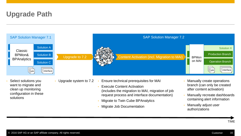# **Upgrade Path**



• Migrate Job Documentation

• Manually adjust user authorizations

TIME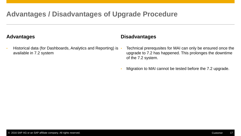## **Advantages / Disadvantages of Upgrade Procedure**

#### **Advantages**

• Historical data (for Dashboards, Analytics and Reporting) is available in 7.2 system

#### **Disadvantages**

- Technical prerequsites for MAI can only be ensured once the upgrade to 7.2 has happened. This prolonges the downtime of the 7.2 system.
- Migration to MAI cannot be tested before the 7.2 upgrade.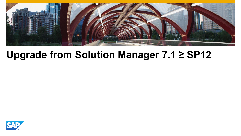

# **Upgrade from Solution Manager 7.1 ≥ SP12**

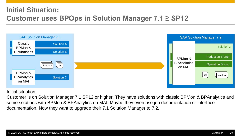# **Initial Situation: Customer uses BPOps in Solution Manager 7.1 ≥ SP12**



Initial situation:

Customer is on Solution Manager 7.1 SP12 or higher. They have solutions with classic BPMon & BPAnalytics and some solutions with BPMon & BPAnalytics on MAI. Maybe they even use job documentation or interface documentation. Now they want to upgrade their 7.1 Solution Manager to 7.2.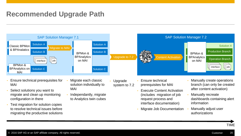### **Recommended Upgrade Path**



TIME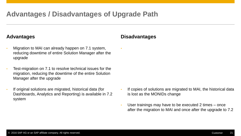### **Advantages / Disadvantages of Upgrade Path**

#### **Advantages**

- Migration to MAI can already happen on 7.1 system, reducing downtime of entire Solution Manager after the upgrade
- Test-migration on 7.1 to resolve technical issues for the migration, reducing the downtime of the entire Solution Manager after the upgrade
- If original solutions are migrated, historical data (for Dashboards, Analytics and Reporting) is available in 7.2 system

#### **Disadvantages**

•

- If copies of solutions are migrated to MAI, the historical data is lost as the MONIDs change
- User trainings may have to be executed 2 times once after the migration to MAI and once after the upgrade to 7.2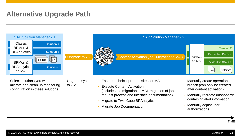## **Alternative Upgrade Path**



- Select solutions you want to migrate and clean up monitoring configuration in these solutions
- Upgrade system to 7.2
- Ensure technical prerequisites for MAI
	- **Execute Content Activation** (includes the migration to MAI, migration of job request process and interface documentation)
	- Migrate to Twin Cube BPAnalytics
	- Migrate Job Documentation
- Manually create operations branch (can only be created after content activation)
- Manually recreate dashboards containing alert information
- Manually adjust user authorizations

TIME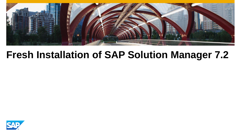

# **Fresh Installation of SAP Solution Manager 7.2**

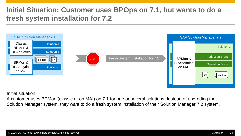# **Initial Situation: Customer uses BPOps on 7.1, but wants to do a fresh system installation for 7.2**



Initial situation:

A customer uses BPMon (classic or on MAI) on 7.1 for one or several solutions. Instead of upgrading their Solution Manager system, they want to do a fresh system installation of their Solution Manager 7.2 system.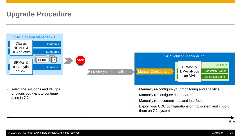## **Upgrade Procedure**



- Manually re-document jobs and interfaces
- Export your CDC configurations on 7.1 system and import them on 7.2 system

time